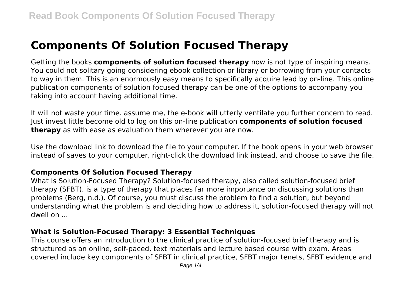# **Components Of Solution Focused Therapy**

Getting the books **components of solution focused therapy** now is not type of inspiring means. You could not solitary going considering ebook collection or library or borrowing from your contacts to way in them. This is an enormously easy means to specifically acquire lead by on-line. This online publication components of solution focused therapy can be one of the options to accompany you taking into account having additional time.

It will not waste your time. assume me, the e-book will utterly ventilate you further concern to read. Just invest little become old to log on this on-line publication **components of solution focused therapy** as with ease as evaluation them wherever you are now.

Use the download link to download the file to your computer. If the book opens in your web browser instead of saves to your computer, right-click the download link instead, and choose to save the file.

#### **Components Of Solution Focused Therapy**

What Is Solution-Focused Therapy? Solution-focused therapy, also called solution-focused brief therapy (SFBT), is a type of therapy that places far more importance on discussing solutions than problems (Berg, n.d.). Of course, you must discuss the problem to find a solution, but beyond understanding what the problem is and deciding how to address it, solution-focused therapy will not dwell on ...

# **What is Solution-Focused Therapy: 3 Essential Techniques**

This course offers an introduction to the clinical practice of solution-focused brief therapy and is structured as an online, self-paced, text materials and lecture based course with exam. Areas covered include key components of SFBT in clinical practice, SFBT major tenets, SFBT evidence and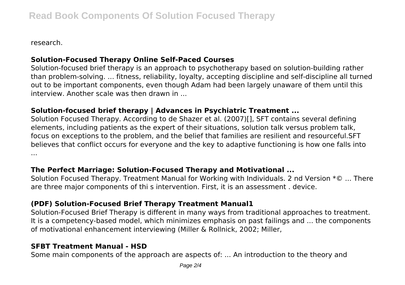research.

# **Solution-Focused Therapy Online Self-Paced Courses**

Solution-focused brief therapy is an approach to psychotherapy based on solution-building rather than problem-solving. ... fitness, reliability, loyalty, accepting discipline and self-discipline all turned out to be important components, even though Adam had been largely unaware of them until this interview. Another scale was then drawn in ...

#### **Solution-focused brief therapy | Advances in Psychiatric Treatment ...**

Solution Focused Therapy. According to de Shazer et al. (2007)[], SFT contains several defining elements, including patients as the expert of their situations, solution talk versus problem talk, focus on exceptions to the problem, and the belief that families are resilient and resourceful.SFT believes that conflict occurs for everyone and the key to adaptive functioning is how one falls into ...

#### **The Perfect Marriage: Solution-Focused Therapy and Motivational ...**

Solution Focused Therapy. Treatment Manual for Working with Individuals. 2 nd Version \*© ... There are three major components of thi s intervention. First, it is an assessment . device.

# **(PDF) Solution-Focused Brief Therapy Treatment Manual1**

Solution-Focused Brief Therapy is different in many ways from traditional approaches to treatment. It is a competency-based model, which minimizes emphasis on past failings and ... the components of motivational enhancement interviewing (Miller & Rollnick, 2002; Miller,

# **SFBT Treatment Manual - HSD**

Some main components of the approach are aspects of: ... An introduction to the theory and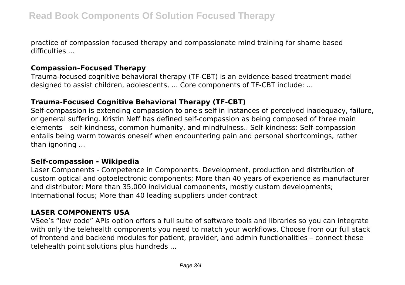practice of compassion focused therapy and compassionate mind training for shame based difficulties ...

#### **Compassion–Focused Therapy**

Trauma-focused cognitive behavioral therapy (TF-CBT) is an evidence-based treatment model designed to assist children, adolescents, ... Core components of TF-CBT include: ...

# **Trauma-Focused Cognitive Behavioral Therapy (TF-CBT)**

Self-compassion is extending compassion to one's self in instances of perceived inadequacy, failure, or general suffering. Kristin Neff has defined self-compassion as being composed of three main elements – self-kindness, common humanity, and mindfulness.. Self-kindness: Self-compassion entails being warm towards oneself when encountering pain and personal shortcomings, rather than ignoring ...

#### **Self-compassion - Wikipedia**

Laser Components - Competence in Components. Development, production and distribution of custom optical and optoelectronic components; More than 40 years of experience as manufacturer and distributor; More than 35,000 individual components, mostly custom developments; International focus; More than 40 leading suppliers under contract

# **LASER COMPONENTS USA**

VSee's "low code" APIs option offers a full suite of software tools and libraries so you can integrate with only the telehealth components you need to match your workflows. Choose from our full stack of frontend and backend modules for patient, provider, and admin functionalities – connect these telehealth point solutions plus hundreds ...